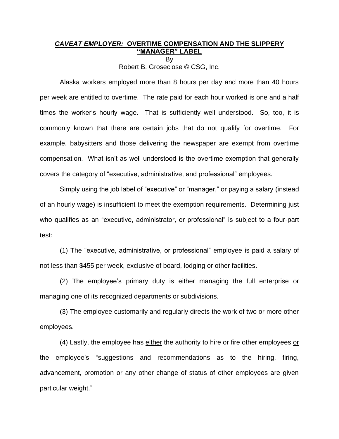## *CAVEAT EMPLOYER:* **OVERTIME COMPENSATION AND THE SLIPPERY "MANAGER" LABEL** By

Robert B. Groseclose © CSG, Inc.

Alaska workers employed more than 8 hours per day and more than 40 hours per week are entitled to overtime. The rate paid for each hour worked is one and a half times the worker's hourly wage. That is sufficiently well understood. So, too, it is commonly known that there are certain jobs that do not qualify for overtime. For example, babysitters and those delivering the newspaper are exempt from overtime compensation. What isn't as well understood is the overtime exemption that generally covers the category of "executive, administrative, and professional" employees.

Simply using the job label of "executive" or "manager," or paying a salary (instead of an hourly wage) is insufficient to meet the exemption requirements. Determining just who qualifies as an "executive, administrator, or professional" is subject to a four-part test:

(1) The "executive, administrative, or professional" employee is paid a salary of not less than \$455 per week, exclusive of board, lodging or other facilities.

(2) The employee's primary duty is either managing the full enterprise or managing one of its recognized departments or subdivisions.

(3) The employee customarily and regularly directs the work of two or more other employees.

(4) Lastly, the employee has either the authority to hire or fire other employees or the employee's "suggestions and recommendations as to the hiring, firing, advancement, promotion or any other change of status of other employees are given particular weight."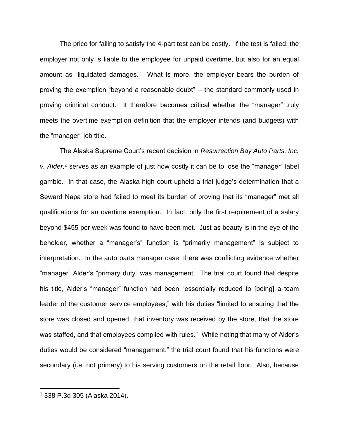The price for failing to satisfy the 4-part test can be costly. If the test is failed, the employer not only is liable to the employee for unpaid overtime, but also for an equal amount as "liquidated damages." What is more, the employer bears the burden of proving the exemption "beyond a reasonable doubt" -- the standard commonly used in proving criminal conduct. It therefore becomes critical whether the "manager" truly meets the overtime exemption definition that the employer intends (and budgets) with the "manager" job title.

The Alaska Supreme Court's recent decision in *Resurrection Bay Auto Parts, Inc. v. Alder,<sup>1</sup>* serves as an example of just how costly it can be to lose the "manager" label gamble. In that case, the Alaska high court upheld a trial judge's determination that a Seward Napa store had failed to meet its burden of proving that its "manager" met all qualifications for an overtime exemption. In fact, only the first requirement of a salary beyond \$455 per week was found to have been met. Just as beauty is in the eye of the beholder, whether a "manager's" function is "primarily management" is subject to interpretation. In the auto parts manager case, there was conflicting evidence whether "manager" Alder's "primary duty" was management. The trial court found that despite his title, Alder's "manager" function had been "essentially reduced to [being] a team leader of the customer service employees," with his duties "limited to ensuring that the store was closed and opened, that inventory was received by the store, that the store was staffed, and that employees complied with rules." While noting that many of Alder's duties would be considered "management," the trial court found that his functions were secondary (i.e. not primary) to his serving customers on the retail floor. Also, because

<sup>1</sup> 338 P.3d 305 (Alaska 2014).